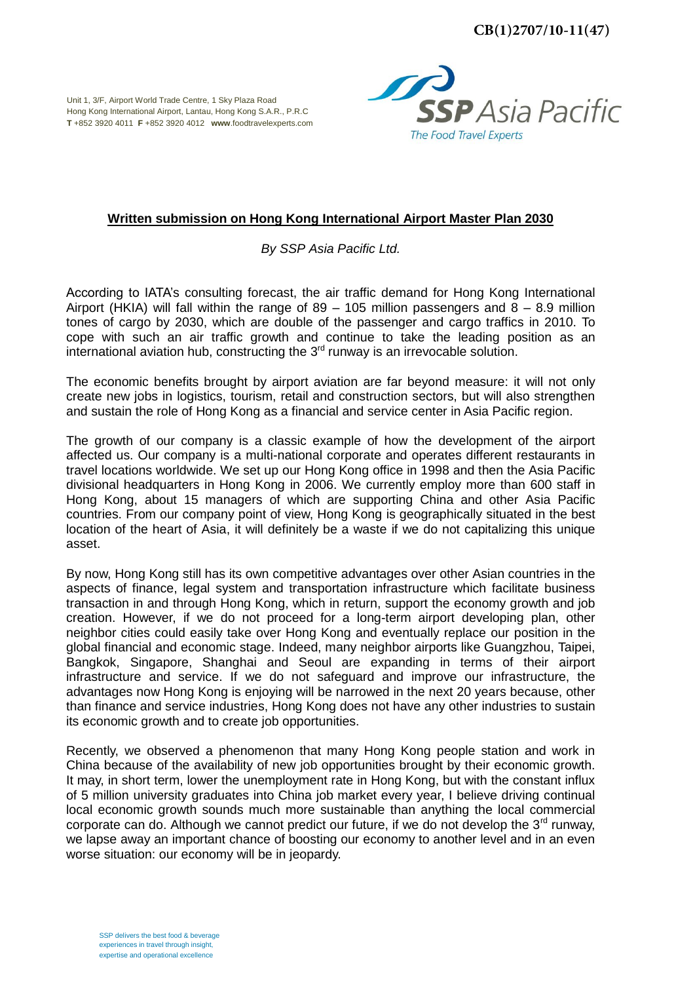Unit 1, 3/F, Airport World Trade Centre, 1 Sky Plaza Road Hong Kong International Airport, Lantau, Hong Kong S.A.R., P.R.C **T** +852 3920 4011 **F** +852 3920 4012 **www**.foodtravelexperts.com



## **Written submission on Hong Kong International Airport Master Plan 2030**

*By SSP Asia Pacific Ltd.* 

According to IATA's consulting forecast, the air traffic demand for Hong Kong International Airport (HKIA) will fall within the range of 89 – 105 million passengers and 8 – 8.9 million tones of cargo by 2030, which are double of the passenger and cargo traffics in 2010. To cope with such an air traffic growth and continue to take the leading position as an international aviation hub, constructing the  $3<sup>rd</sup>$  runway is an irrevocable solution.

The economic benefits brought by airport aviation are far beyond measure: it will not only create new jobs in logistics, tourism, retail and construction sectors, but will also strengthen and sustain the role of Hong Kong as a financial and service center in Asia Pacific region.

The growth of our company is a classic example of how the development of the airport affected us. Our company is a multi-national corporate and operates different restaurants in travel locations worldwide. We set up our Hong Kong office in 1998 and then the Asia Pacific divisional headquarters in Hong Kong in 2006. We currently employ more than 600 staff in Hong Kong, about 15 managers of which are supporting China and other Asia Pacific countries. From our company point of view, Hong Kong is geographically situated in the best location of the heart of Asia, it will definitely be a waste if we do not capitalizing this unique asset.

By now, Hong Kong still has its own competitive advantages over other Asian countries in the aspects of finance, legal system and transportation infrastructure which facilitate business transaction in and through Hong Kong, which in return, support the economy growth and job creation. However, if we do not proceed for a long-term airport developing plan, other neighbor cities could easily take over Hong Kong and eventually replace our position in the global financial and economic stage. Indeed, many neighbor airports like Guangzhou, Taipei, Bangkok, Singapore, Shanghai and Seoul are expanding in terms of their airport infrastructure and service. If we do not safeguard and improve our infrastructure, the advantages now Hong Kong is enjoying will be narrowed in the next 20 years because, other than finance and service industries, Hong Kong does not have any other industries to sustain its economic growth and to create job opportunities.

Recently, we observed a phenomenon that many Hong Kong people station and work in China because of the availability of new job opportunities brought by their economic growth. It may, in short term, lower the unemployment rate in Hong Kong, but with the constant influx of 5 million university graduates into China job market every year, I believe driving continual local economic growth sounds much more sustainable than anything the local commercial corporate can do. Although we cannot predict our future, if we do not develop the  $3<sup>rd</sup>$  runway, we lapse away an important chance of boosting our economy to another level and in an even worse situation: our economy will be in jeopardy.